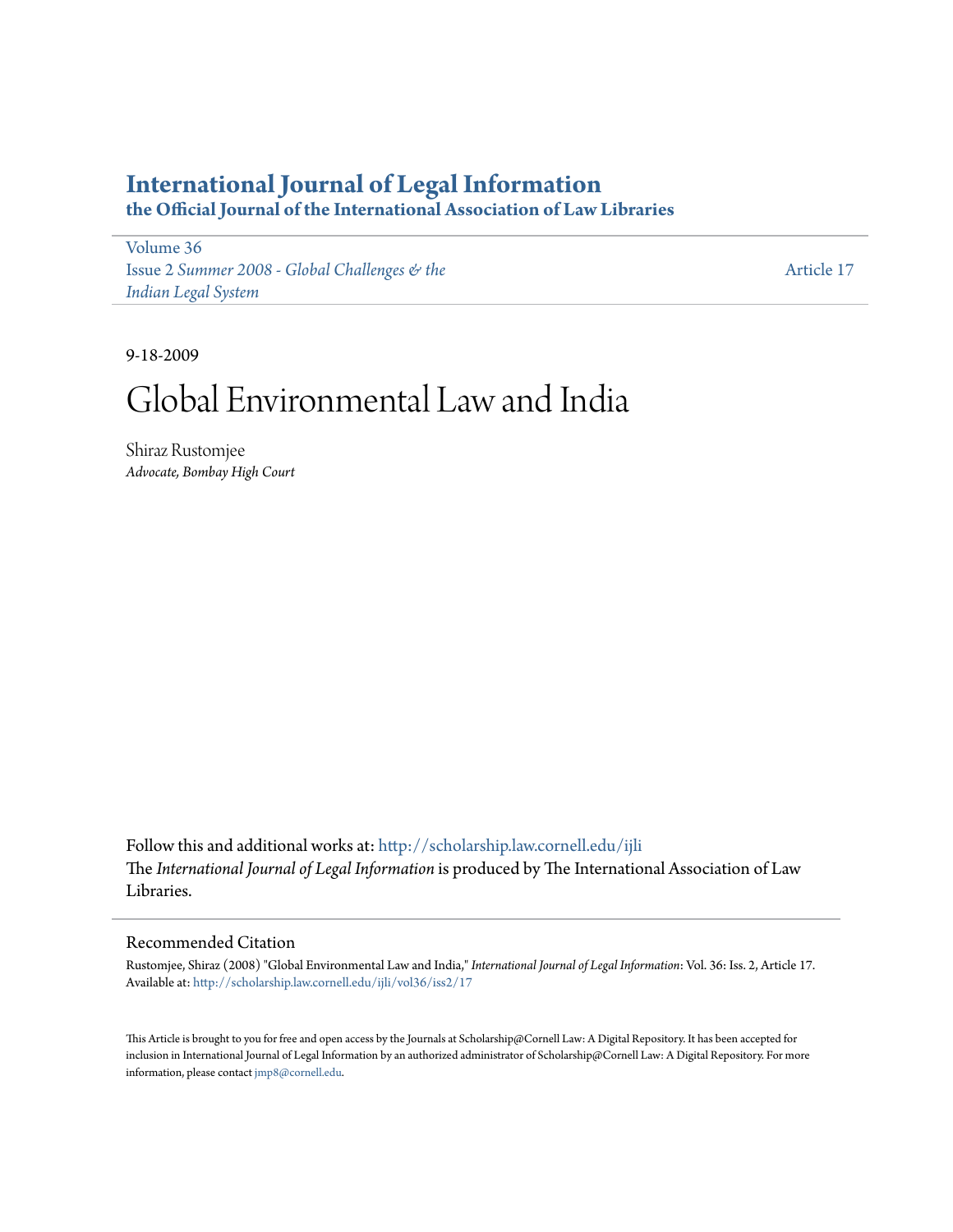# **[International Journal of Legal Information](http://scholarship.law.cornell.edu/ijli?utm_source=scholarship.law.cornell.edu%2Fijli%2Fvol36%2Fiss2%2F17&utm_medium=PDF&utm_campaign=PDFCoverPages)**

**the Official Journal of the International Association of Law Libraries**

[Volume 36](http://scholarship.law.cornell.edu/ijli/vol36?utm_source=scholarship.law.cornell.edu%2Fijli%2Fvol36%2Fiss2%2F17&utm_medium=PDF&utm_campaign=PDFCoverPages) Issue 2 *[Summer 2008 - Global Challenges & the](http://scholarship.law.cornell.edu/ijli/vol36/iss2?utm_source=scholarship.law.cornell.edu%2Fijli%2Fvol36%2Fiss2%2F17&utm_medium=PDF&utm_campaign=PDFCoverPages) [Indian Legal System](http://scholarship.law.cornell.edu/ijli/vol36/iss2?utm_source=scholarship.law.cornell.edu%2Fijli%2Fvol36%2Fiss2%2F17&utm_medium=PDF&utm_campaign=PDFCoverPages)*

[Article 17](http://scholarship.law.cornell.edu/ijli/vol36/iss2/17?utm_source=scholarship.law.cornell.edu%2Fijli%2Fvol36%2Fiss2%2F17&utm_medium=PDF&utm_campaign=PDFCoverPages)

9-18-2009

# Global Environmental Law and India

Shiraz Rustomjee *Advocate, Bombay High Court*

Follow this and additional works at: [http://scholarship.law.cornell.edu/ijli](http://scholarship.law.cornell.edu/ijli?utm_source=scholarship.law.cornell.edu%2Fijli%2Fvol36%2Fiss2%2F17&utm_medium=PDF&utm_campaign=PDFCoverPages) The *International Journal of Legal Information* is produced by The International Association of Law Libraries.

# Recommended Citation

Rustomjee, Shiraz (2008) "Global Environmental Law and India," *International Journal of Legal Information*: Vol. 36: Iss. 2, Article 17. Available at: [http://scholarship.law.cornell.edu/ijli/vol36/iss2/17](http://scholarship.law.cornell.edu/ijli/vol36/iss2/17?utm_source=scholarship.law.cornell.edu%2Fijli%2Fvol36%2Fiss2%2F17&utm_medium=PDF&utm_campaign=PDFCoverPages)

This Article is brought to you for free and open access by the Journals at Scholarship@Cornell Law: A Digital Repository. It has been accepted for inclusion in International Journal of Legal Information by an authorized administrator of Scholarship@Cornell Law: A Digital Repository. For more information, please contact [jmp8@cornell.edu.](mailto:jmp8@cornell.edu)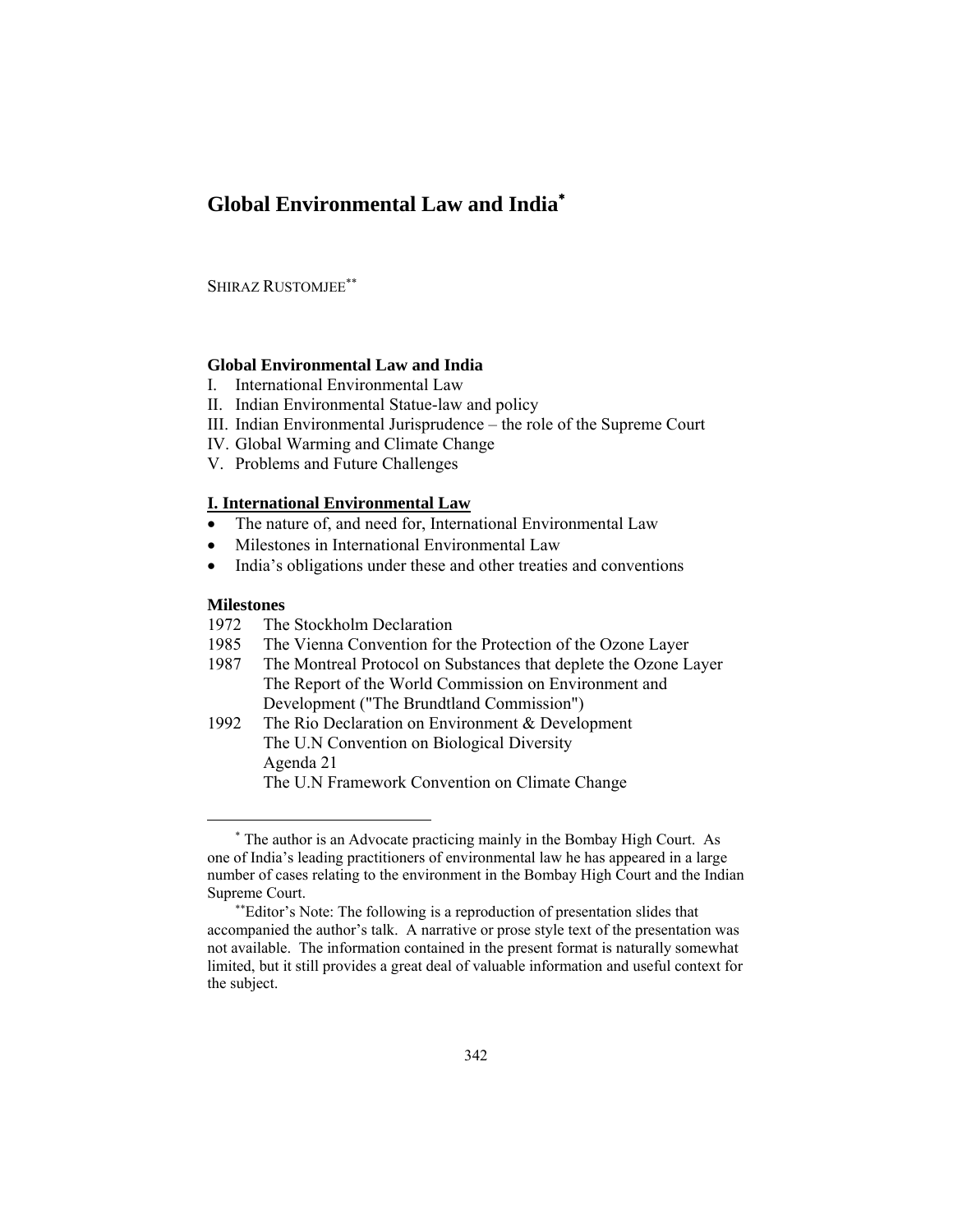# **Global Environmental Law and India**<sup>∗</sup>

SHIRAZ RUSTOMJEE∗∗

# **Global Environmental Law and India**

- I. International Environmental Law
- II. Indian Environmental Statue-law and policy
- III. Indian Environmental Jurisprudence the role of the Supreme Court
- IV. Global Warming and Climate Change
- V. Problems and Future Challenges

# **I. International Environmental Law**

- The nature of, and need for, International Environmental Law
- Milestones in International Environmental Law
- India's obligations under these and other treaties and conventions

### **Milestones**

 $\overline{a}$ 

- 1972 The Stockholm Declaration
- 1985 The Vienna Convention for the Protection of the Ozone Layer
- 1987 The Montreal Protocol on Substances that deplete the Ozone Layer The Report of the World Commission on Environment and Development ("The Brundtland Commission")
- 1992 The Rio Declaration on Environment & Development The U.N Convention on Biological Diversity Agenda 21 The U.N Framework Convention on Climate Change

<sup>∗</sup> The author is an Advocate practicing mainly in the Bombay High Court. As one of India's leading practitioners of environmental law he has appeared in a large number of cases relating to the environment in the Bombay High Court and the Indian Supreme Court.

<sup>∗∗</sup>Editor's Note: The following is a reproduction of presentation slides that accompanied the author's talk. A narrative or prose style text of the presentation was not available. The information contained in the present format is naturally somewhat limited, but it still provides a great deal of valuable information and useful context for the subject.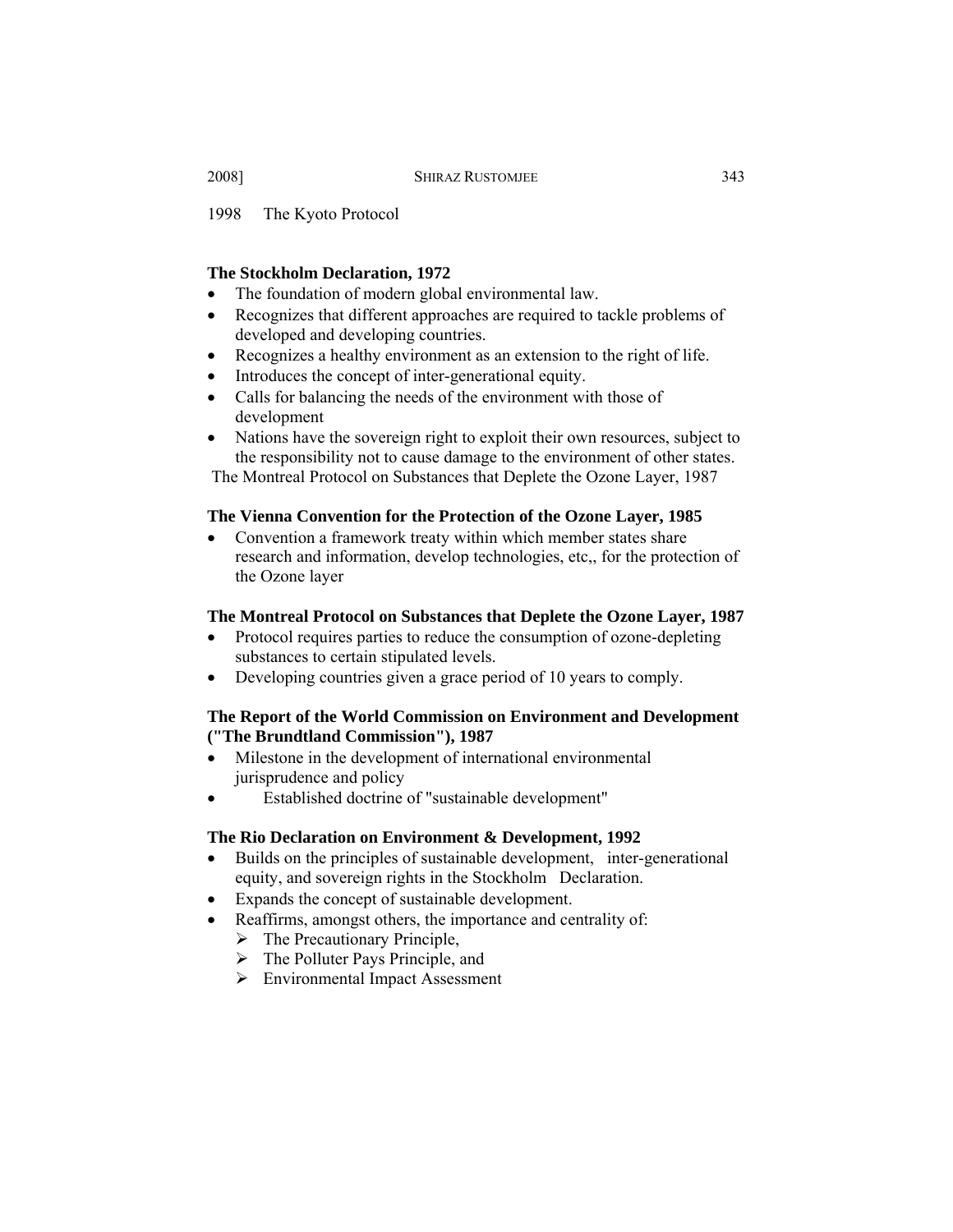1998 The Kyoto Protocol

# **The Stockholm Declaration, 1972**

- The foundation of modern global environmental law.
- Recognizes that different approaches are required to tackle problems of developed and developing countries.
- Recognizes a healthy environment as an extension to the right of life.
- Introduces the concept of inter-generational equity.
- Calls for balancing the needs of the environment with those of development
- Nations have the sovereign right to exploit their own resources, subject to the responsibility not to cause damage to the environment of other states.

The Montreal Protocol on Substances that Deplete the Ozone Layer, 1987

# **The Vienna Convention for the Protection of the Ozone Layer, 1985**

• Convention a framework treaty within which member states share research and information, develop technologies, etc,, for the protection of the Ozone layer

### **The Montreal Protocol on Substances that Deplete the Ozone Layer, 1987**

- Protocol requires parties to reduce the consumption of ozone-depleting substances to certain stipulated levels.
- Developing countries given a grace period of 10 years to comply.

# **The Report of the World Commission on Environment and Development ("The Brundtland Commission"), 1987**

- Milestone in the development of international environmental jurisprudence and policy
- Established doctrine of "sustainable development"

# **The Rio Declaration on Environment & Development, 1992**

- Builds on the principles of sustainable development, inter-generational equity, and sovereign rights in the Stockholm Declaration.
- Expands the concept of sustainable development.
- Reaffirms, amongst others, the importance and centrality of:
	- $\triangleright$  The Precautionary Principle,
	- $\triangleright$  The Polluter Pays Principle, and
	- ¾ Environmental Impact Assessment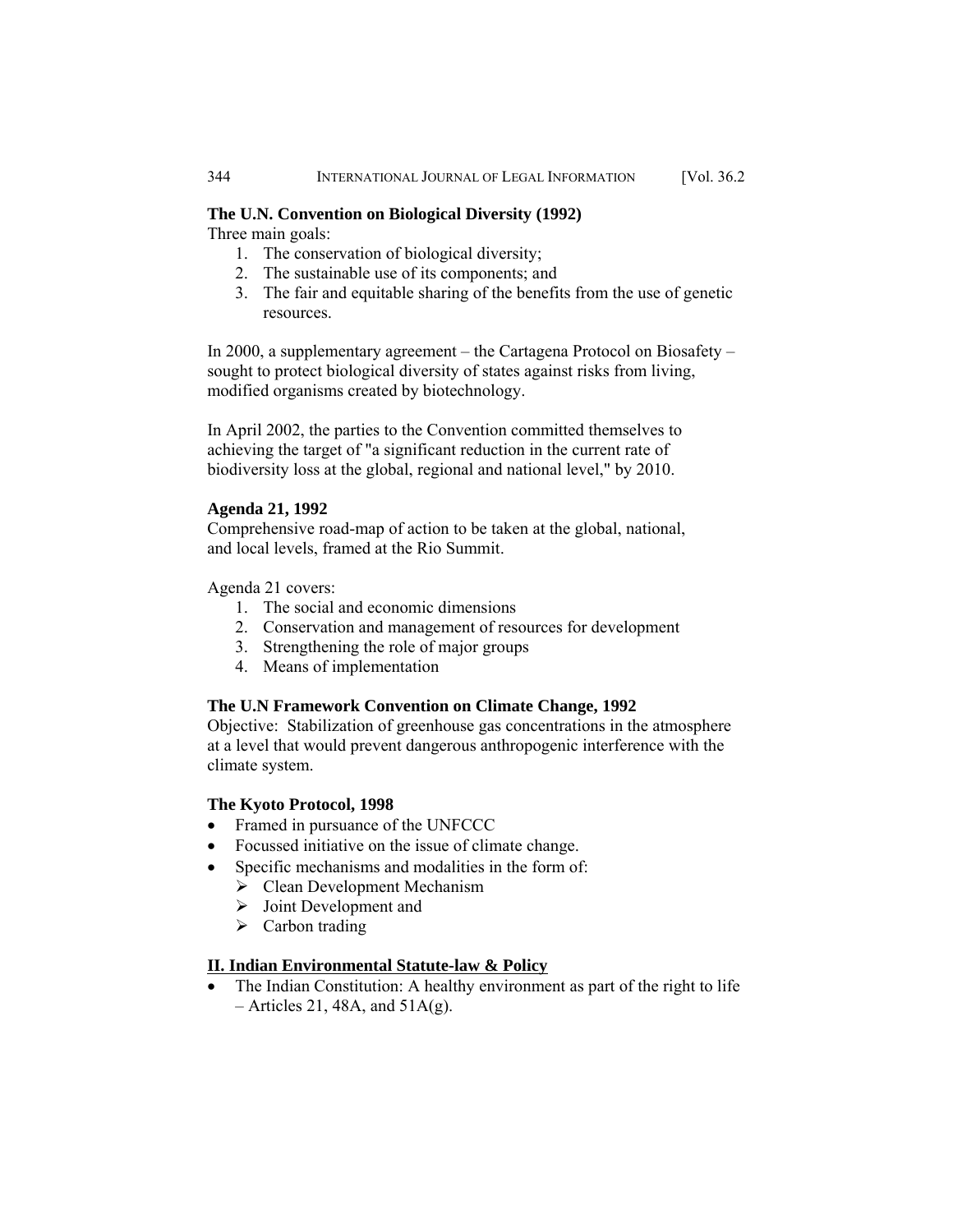# **The U.N. Convention on Biological Diversity (1992)**

Three main goals:

- 1. The conservation of biological diversity;
- 2. The sustainable use of its components; and
- 3. The fair and equitable sharing of the benefits from the use of genetic resources.

In 2000, a supplementary agreement – the Cartagena Protocol on Biosafety – sought to protect biological diversity of states against risks from living, modified organisms created by biotechnology.

In April 2002, the parties to the Convention committed themselves to achieving the target of "a significant reduction in the current rate of biodiversity loss at the global, regional and national level," by 2010.

# **Agenda 21, 1992**

Comprehensive road-map of action to be taken at the global, national, and local levels, framed at the Rio Summit.

Agenda 21 covers:

- 1. The social and economic dimensions
- 2. Conservation and management of resources for development
- 3. Strengthening the role of major groups
- 4. Means of implementation

# **The U.N Framework Convention on Climate Change, 1992**

Objective: Stabilization of greenhouse gas concentrations in the atmosphere at a level that would prevent dangerous anthropogenic interference with the climate system.

### **The Kyoto Protocol, 1998**

- Framed in pursuance of the UNFCCC
- Focussed initiative on the issue of climate change.
	- Specific mechanisms and modalities in the form of:
		- $\triangleright$  Clean Development Mechanism
		- $\triangleright$  Joint Development and
		- $\triangleright$  Carbon trading

# **II. Indian Environmental Statute-law & Policy**

• The Indian Constitution: A healthy environment as part of the right to life  $-$  Articles 21, 48A, and 51A(g).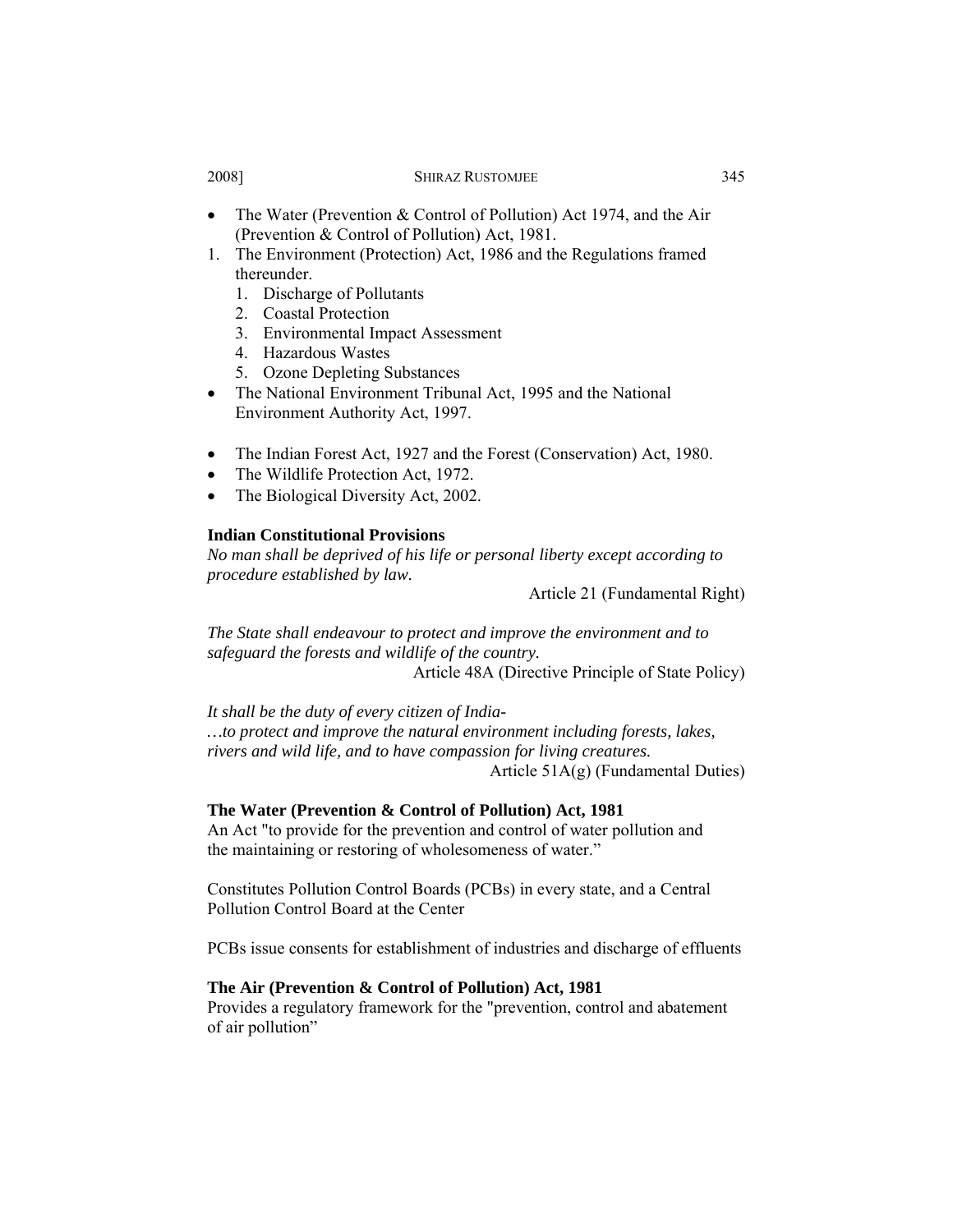- The Water (Prevention & Control of Pollution) Act 1974, and the Air (Prevention & Control of Pollution) Act, 1981.
- 1. The Environment (Protection) Act, 1986 and the Regulations framed thereunder.
	- 1. Discharge of Pollutants
	- 2. Coastal Protection
	- 3. Environmental Impact Assessment
	- 4. Hazardous Wastes
	- 5. Ozone Depleting Substances
- The National Environment Tribunal Act, 1995 and the National Environment Authority Act, 1997.
- The Indian Forest Act, 1927 and the Forest (Conservation) Act, 1980.
- The Wildlife Protection Act, 1972.
- The Biological Diversity Act, 2002.

# **Indian Constitutional Provisions**

*No man shall be deprived of his life or personal liberty except according to procedure established by law.*

Article 21 (Fundamental Right)

*The State shall endeavour to protect and improve the environment and to safeguard the forests and wildlife of the country.* Article 48A (Directive Principle of State Policy)

*It shall be the duty of every citizen of India- …to protect and improve the natural environment including forests, lakes,* 

*rivers and wild life, and to have compassion for living creatures.* Article 51A(g) (Fundamental Duties)

### **The Water (Prevention & Control of Pollution) Act, 1981**

An Act "to provide for the prevention and control of water pollution and the maintaining or restoring of wholesomeness of water."

Constitutes Pollution Control Boards (PCBs) in every state, and a Central Pollution Control Board at the Center

PCBs issue consents for establishment of industries and discharge of effluents

# **The Air (Prevention & Control of Pollution) Act, 1981**

Provides a regulatory framework for the "prevention, control and abatement of air pollution"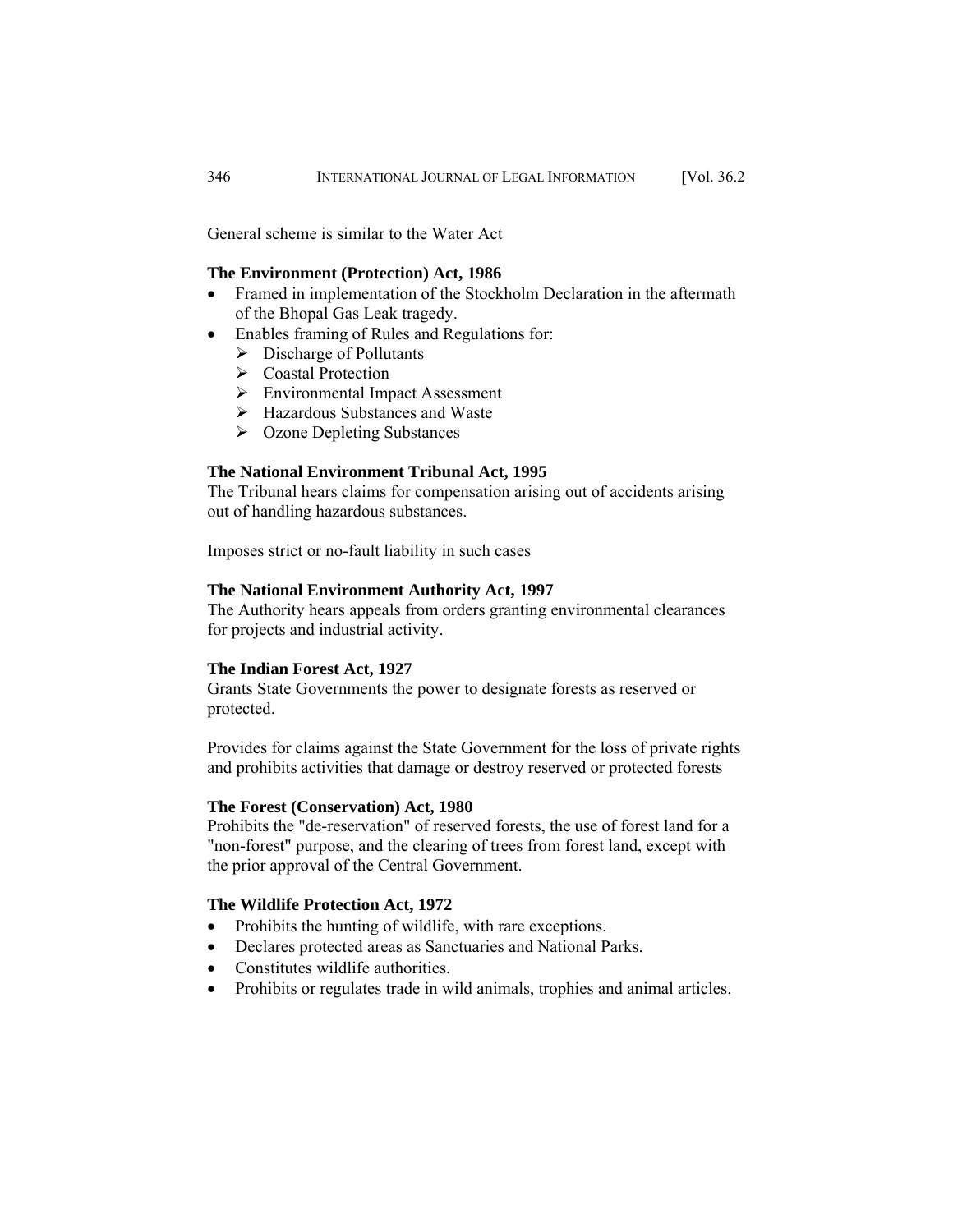General scheme is similar to the Water Act

# **The Environment (Protection) Act, 1986**

- Framed in implementation of the Stockholm Declaration in the aftermath of the Bhopal Gas Leak tragedy.
- Enables framing of Rules and Regulations for:
	- $\triangleright$  Discharge of Pollutants
	- ¾ Coastal Protection
	- ¾ Environmental Impact Assessment
	- ¾ Hazardous Substances and Waste
	- ¾ Ozone Depleting Substances

# **The National Environment Tribunal Act, 1995**

The Tribunal hears claims for compensation arising out of accidents arising out of handling hazardous substances.

Imposes strict or no-fault liability in such cases

### **The National Environment Authority Act, 1997**

The Authority hears appeals from orders granting environmental clearances for projects and industrial activity.

### **The Indian Forest Act, 1927**

Grants State Governments the power to designate forests as reserved or protected.

Provides for claims against the State Government for the loss of private rights and prohibits activities that damage or destroy reserved or protected forests

# **The Forest (Conservation) Act, 1980**

Prohibits the "de-reservation" of reserved forests, the use of forest land for a "non-forest" purpose, and the clearing of trees from forest land, except with the prior approval of the Central Government.

### **The Wildlife Protection Act, 1972**

- Prohibits the hunting of wildlife, with rare exceptions.
- Declares protected areas as Sanctuaries and National Parks.
- Constitutes wildlife authorities.
- Prohibits or regulates trade in wild animals, trophies and animal articles.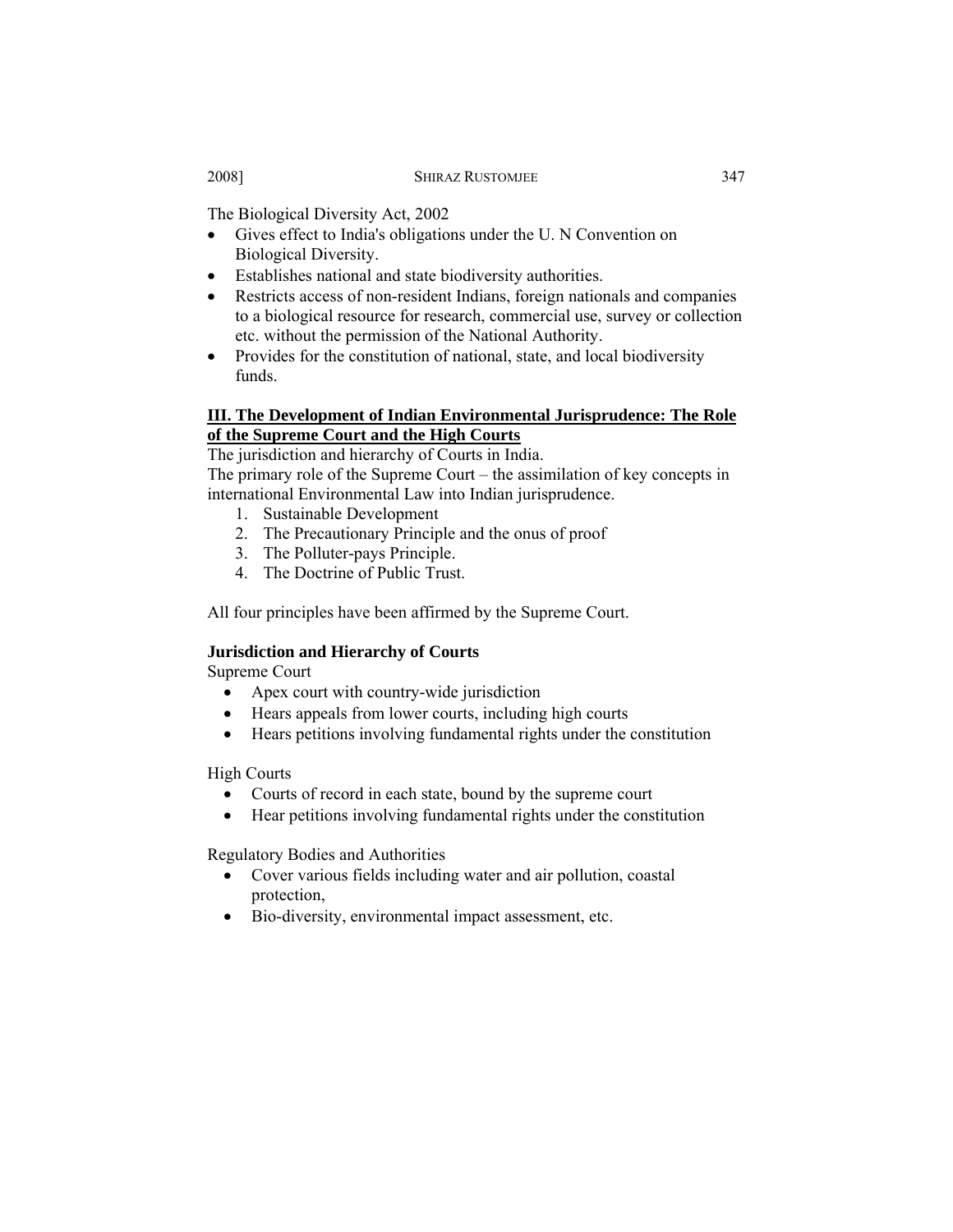The Biological Diversity Act, 2002

- Gives effect to India's obligations under the U. N Convention on Biological Diversity.
- Establishes national and state biodiversity authorities.
- Restricts access of non-resident Indians, foreign nationals and companies to a biological resource for research, commercial use, survey or collection etc. without the permission of the National Authority.
- Provides for the constitution of national, state, and local biodiversity funds.

# **III. The Development of Indian Environmental Jurisprudence: The Role of the Supreme Court and the High Courts**

The jurisdiction and hierarchy of Courts in India.

The primary role of the Supreme Court – the assimilation of key concepts in international Environmental Law into Indian jurisprudence.

- 1. Sustainable Development
- 2. The Precautionary Principle and the onus of proof
- 3. The Polluter-pays Principle.
- 4. The Doctrine of Public Trust.

All four principles have been affirmed by the Supreme Court.

# **Jurisdiction and Hierarchy of Courts**

Supreme Court

- Apex court with country-wide jurisdiction
- Hears appeals from lower courts, including high courts
- Hears petitions involving fundamental rights under the constitution

High Courts

- Courts of record in each state, bound by the supreme court
- Hear petitions involving fundamental rights under the constitution

Regulatory Bodies and Authorities

- Cover various fields including water and air pollution, coastal protection,
- Bio-diversity, environmental impact assessment, etc.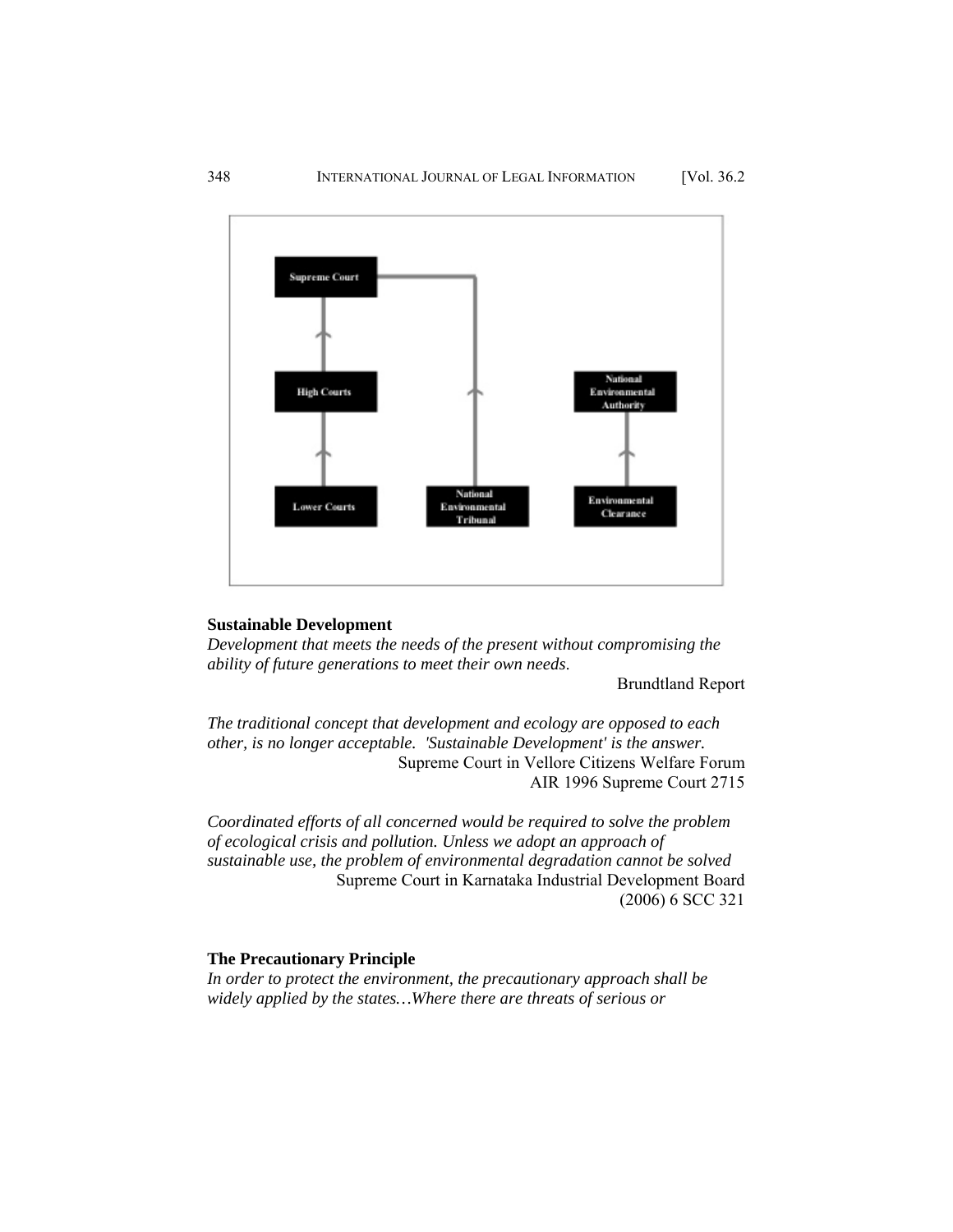

# **Sustainable Development**

*Development that meets the needs of the present without compromising the ability of future generations to meet their own needs*.

Brundtland Report

*The traditional concept that development and ecology are opposed to each other, is no longer acceptable. 'Sustainable Development' is the answer.* Supreme Court in Vellore Citizens Welfare Forum AIR 1996 Supreme Court 2715

*Coordinated efforts of all concerned would be required to solve the problem of ecological crisis and pollution. Unless we adopt an approach of sustainable use, the problem of environmental degradation cannot be solved*  Supreme Court in Karnataka Industrial Development Board (2006) 6 SCC 321

# **The Precautionary Principle**

*In order to protect the environment, the precautionary approach shall be widely applied by the states…Where there are threats of serious or*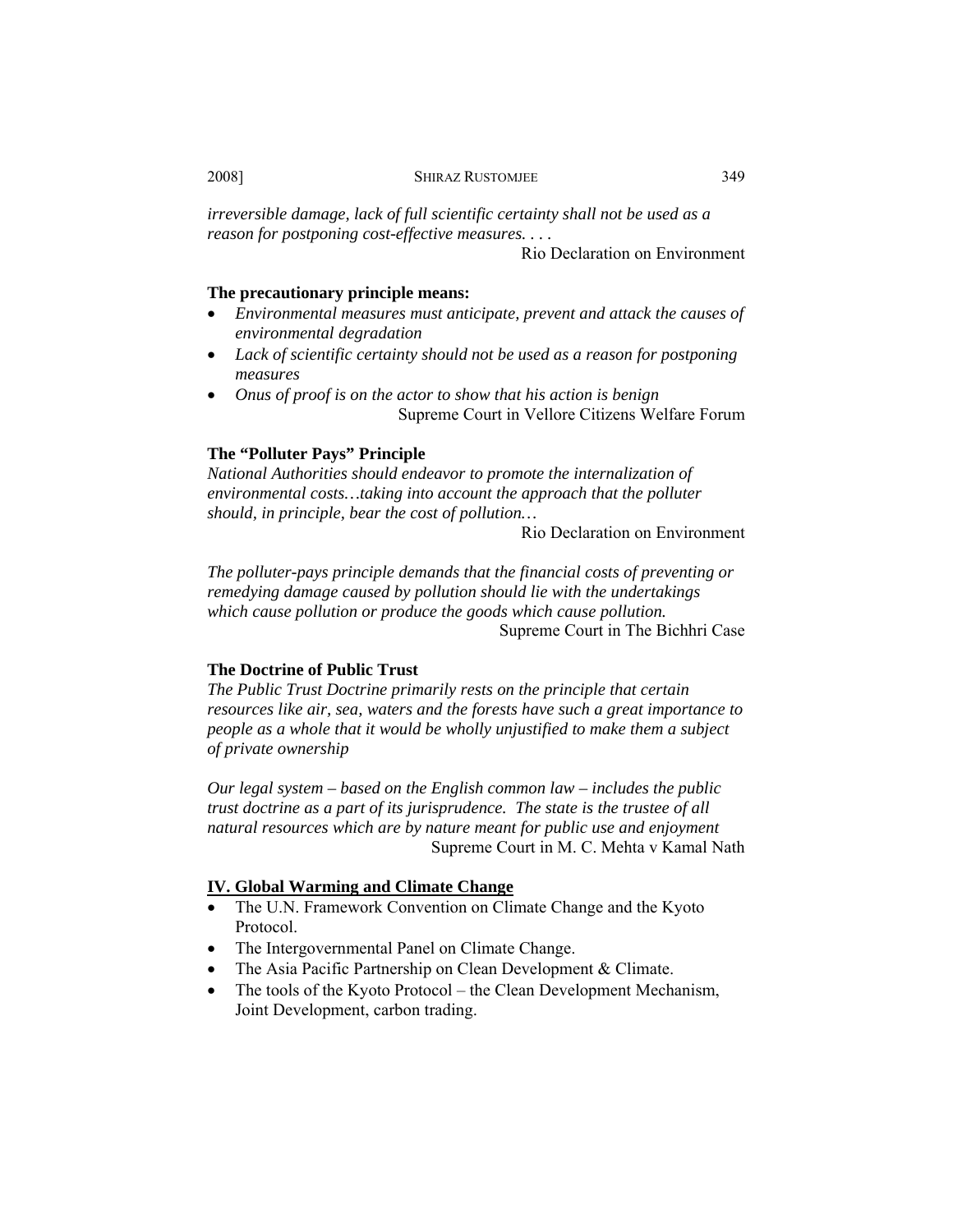*irreversible damage, lack of full scientific certainty shall not be used as a reason for postponing cost-effective measures. . . .* 

Rio Declaration on Environment

# **The precautionary principle means:**

- *Environmental measures must anticipate, prevent and attack the causes of environmental degradation*
- *Lack of scientific certainty should not be used as a reason for postponing measures*
- *Onus of proof is on the actor to show that his action is benign*  Supreme Court in Vellore Citizens Welfare Forum

# **The "Polluter Pays" Principle**

*National Authorities should endeavor to promote the internalization of environmental costs…taking into account the approach that the polluter should, in principle, bear the cost of pollution…* 

Rio Declaration on Environment

*The polluter-pays principle demands that the financial costs of preventing or remedying damage caused by pollution should lie with the undertakings which cause pollution or produce the goods which cause pollution.*  Supreme Court in The Bichhri Case

### **The Doctrine of Public Trust**

*The Public Trust Doctrine primarily rests on the principle that certain resources like air, sea, waters and the forests have such a great importance to people as a whole that it would be wholly unjustified to make them a subject of private ownership* 

*Our legal system – based on the English common law – includes the public trust doctrine as a part of its jurisprudence. The state is the trustee of all natural resources which are by nature meant for public use and enjoyment* Supreme Court in M. C. Mehta v Kamal Nath

### **IV. Global Warming and Climate Change**

- The U.N. Framework Convention on Climate Change and the Kyoto Protocol.
- The Intergovernmental Panel on Climate Change.
- The Asia Pacific Partnership on Clean Development & Climate.
- The tools of the Kyoto Protocol the Clean Development Mechanism, Joint Development, carbon trading.